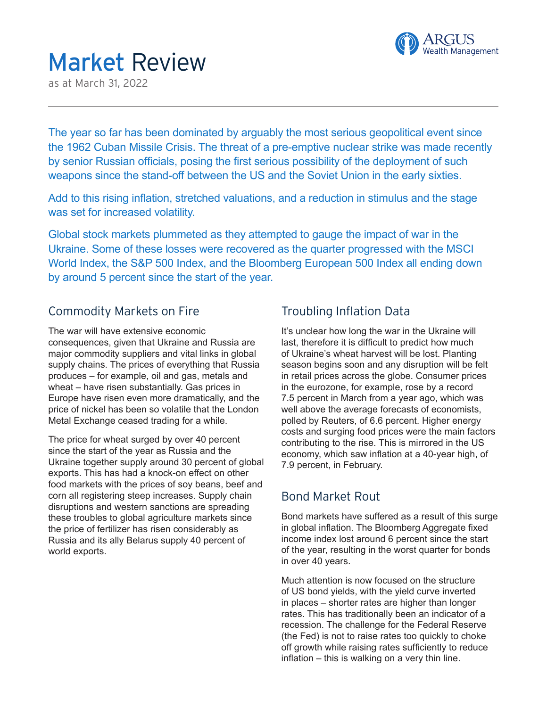

# Market Review

as at March 31, 2022

The year so far has been dominated by arguably the most serious geopolitical event since the 1962 Cuban Missile Crisis. The threat of a pre-emptive nuclear strike was made recently by senior Russian officials, posing the first serious possibility of the deployment of such weapons since the stand-off between the US and the Soviet Union in the early sixties.

Add to this rising inflation, stretched valuations, and a reduction in stimulus and the stage was set for increased volatility.

Global stock markets plummeted as they attempted to gauge the impact of war in the Ukraine. Some of these losses were recovered as the quarter progressed with the MSCI World Index, the S&P 500 Index, and the Bloomberg European 500 Index all ending down by around 5 percent since the start of the year.

#### Commodity Markets on Fire

The war will have extensive economic consequences, given that Ukraine and Russia are major commodity suppliers and vital links in global supply chains. The prices of everything that Russia produces – for example, oil and gas, metals and wheat – have risen substantially. Gas prices in Europe have risen even more dramatically, and the price of nickel has been so volatile that the London Metal Exchange ceased trading for a while.

The price for wheat surged by over 40 percent since the start of the year as Russia and the Ukraine together supply around 30 percent of global exports. This has had a knock-on effect on other food markets with the prices of soy beans, beef and corn all registering steep increases. Supply chain disruptions and western sanctions are spreading these troubles to global agriculture markets since the price of fertilizer has risen considerably as Russia and its ally Belarus supply 40 percent of world exports.

## Troubling Inflation Data

It's unclear how long the war in the Ukraine will last, therefore it is difficult to predict how much of Ukraine's wheat harvest will be lost. Planting season begins soon and any disruption will be felt in retail prices across the globe. Consumer prices in the eurozone, for example, rose by a record 7.5 percent in March from a year ago, which was well above the average forecasts of economists, polled by Reuters, of 6.6 percent. Higher energy costs and surging food prices were the main factors contributing to the rise. This is mirrored in the US economy, which saw inflation at a 40-year high, of 7.9 percent, in February.

## Bond Market Rout

Bond markets have suffered as a result of this surge in global inflation. The Bloomberg Aggregate fixed income index lost around 6 percent since the start of the year, resulting in the worst quarter for bonds in over 40 years.

Much attention is now focused on the structure of US bond yields, with the yield curve inverted in places – shorter rates are higher than longer rates. This has traditionally been an indicator of a recession. The challenge for the Federal Reserve (the Fed) is not to raise rates too quickly to choke off growth while raising rates sufficiently to reduce inflation – this is walking on a very thin line.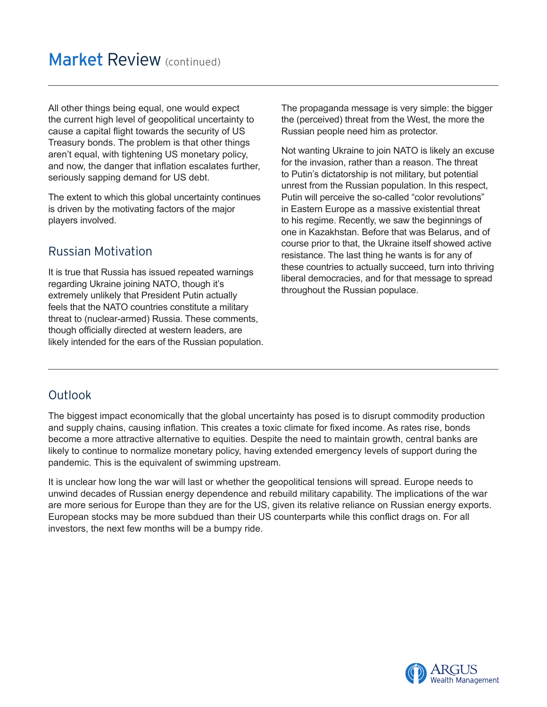All other things being equal, one would expect the current high level of geopolitical uncertainty to cause a capital flight towards the security of US Treasury bonds. The problem is that other things aren't equal, with tightening US monetary policy, and now, the danger that inflation escalates further, seriously sapping demand for US debt.

The extent to which this global uncertainty continues is driven by the motivating factors of the major players involved.

## Russian Motivation

It is true that Russia has issued repeated warnings regarding Ukraine joining NATO, though it's extremely unlikely that President Putin actually feels that the NATO countries constitute a military threat to (nuclear-armed) Russia. These comments, though officially directed at western leaders, are likely intended for the ears of the Russian population. The propaganda message is very simple: the bigger the (perceived) threat from the West, the more the Russian people need him as protector.

Not wanting Ukraine to join NATO is likely an excuse for the invasion, rather than a reason. The threat to Putin's dictatorship is not military, but potential unrest from the Russian population. In this respect, Putin will perceive the so-called "color revolutions" in Eastern Europe as a massive existential threat to his regime. Recently, we saw the beginnings of one in Kazakhstan. Before that was Belarus, and of course prior to that, the Ukraine itself showed active resistance. The last thing he wants is for any of these countries to actually succeed, turn into thriving liberal democracies, and for that message to spread throughout the Russian populace.

## **Outlook**

The biggest impact economically that the global uncertainty has posed is to disrupt commodity production and supply chains, causing inflation. This creates a toxic climate for fixed income. As rates rise, bonds become a more attractive alternative to equities. Despite the need to maintain growth, central banks are likely to continue to normalize monetary policy, having extended emergency levels of support during the pandemic. This is the equivalent of swimming upstream.

It is unclear how long the war will last or whether the geopolitical tensions will spread. Europe needs to unwind decades of Russian energy dependence and rebuild military capability. The implications of the war are more serious for Europe than they are for the US, given its relative reliance on Russian energy exports. European stocks may be more subdued than their US counterparts while this conflict drags on. For all investors, the next few months will be a bumpy ride.